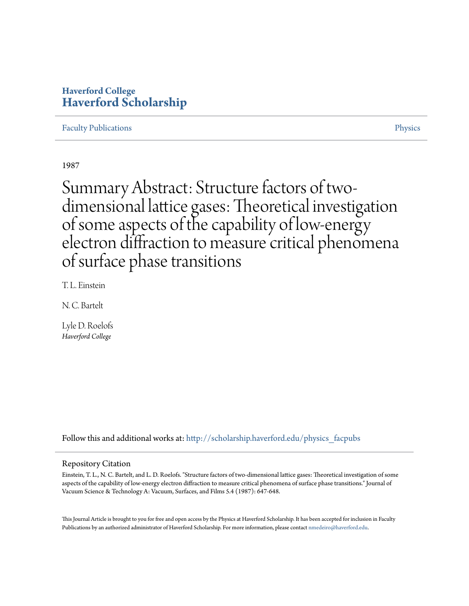## **Haverford College [Haverford Scholarship](http://scholarship.haverford.edu?utm_source=scholarship.haverford.edu%2Fphysics_facpubs%2F208&utm_medium=PDF&utm_campaign=PDFCoverPages)**

[Faculty Publications](http://scholarship.haverford.edu/physics_facpubs?utm_source=scholarship.haverford.edu%2Fphysics_facpubs%2F208&utm_medium=PDF&utm_campaign=PDFCoverPages) **[Physics](http://scholarship.haverford.edu/physics?utm_source=scholarship.haverford.edu%2Fphysics_facpubs%2F208&utm_medium=PDF&utm_campaign=PDFCoverPages)** Physics **Physics** 

1987

Summary Abstract: Structure factors of twodimensional lattice gases: Theoretical investigation of some aspects of the capability of low-energy electron diffraction to measure critical phenomena of surface phase transitions

T. L. Einstein

N. C. Bartelt

Lyle D. Roelofs *Haverford College*

Follow this and additional works at: [http://scholarship.haverford.edu/physics\\_facpubs](http://scholarship.haverford.edu/physics_facpubs?utm_source=scholarship.haverford.edu%2Fphysics_facpubs%2F208&utm_medium=PDF&utm_campaign=PDFCoverPages)

#### Repository Citation

Einstein, T. L., N. C. Bartelt, and L. D. Roelofs. "Structure factors of two-dimensional lattice gases: Theoretical investigation of some aspects of the capability of low‐energy electron diffraction to measure critical phenomena of surface phase transitions." Journal of Vacuum Science & Technology A: Vacuum, Surfaces, and Films 5.4 (1987): 647-648.

This Journal Article is brought to you for free and open access by the Physics at Haverford Scholarship. It has been accepted for inclusion in Faculty Publications by an authorized administrator of Haverford Scholarship. For more information, please contact [nmedeiro@haverford.edu](mailto:nmedeiro@haverford.edu).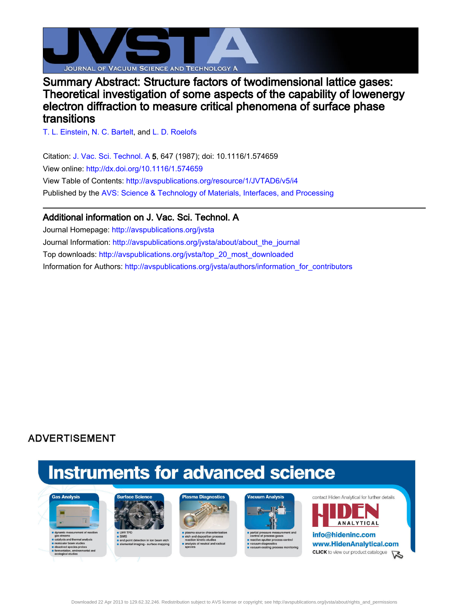

## Summary Abstract: Structure factors of twodimensional lattice gases: Theoretical investigation of some aspects of the capability of lowenergy electron diffraction to measure critical phenomena of surface phase transitions

[T. L. Einstein](http://avspublications.org/search?sortby=newestdate&q=&searchzone=2&searchtype=searchin&faceted=faceted&key=JVTAD6&possible1=T. L. Einstein&possible1zone=author&alias=&displayid=AVS&ver=pdfcov), [N. C. Bartelt](http://avspublications.org/search?sortby=newestdate&q=&searchzone=2&searchtype=searchin&faceted=faceted&key=JVTAD6&possible1=N. C. Bartelt&possible1zone=author&alias=&displayid=AVS&ver=pdfcov), and [L. D. Roelofs](http://avspublications.org/search?sortby=newestdate&q=&searchzone=2&searchtype=searchin&faceted=faceted&key=JVTAD6&possible1=L. D. Roelofs&possible1zone=author&alias=&displayid=AVS&ver=pdfcov)

Citation: [J. Vac. Sci. Technol. A 5](http://avspublications.org/jvsta?ver=pdfcov), 647 (1987); doi: 10.1116/1.574659 View online: [http://dx.doi.org/10.1116/1.574659](http://link.aip.org/link/doi/10.1116/1.574659?ver=pdfcov) View Table of Contents: [http://avspublications.org/resource/1/JVTAD6/v5/i4](http://avspublications.org/resource/1/JVTAD6/v5/i4?ver=pdfcov) Published by the [AVS: Science & Technology of Materials, Interfaces, and Processing](http://www.avs.org/?ver=pdfcov)

### Additional information on J. Vac. Sci. Technol. A

Journal Homepage: [http://avspublications.org/jvsta](http://avspublications.org/jvsta?ver=pdfcov) Journal Information: [http://avspublications.org/jvsta/about/about\\_the\\_journal](http://avspublications.org/jvsta/about/about_the_journal?ver=pdfcov) Top downloads: [http://avspublications.org/jvsta/top\\_20\\_most\\_downloaded](http://avspublications.org/jvsta/top_20_most_downloaded?ver=pdfcov) Information for Authors: [http://avspublications.org/jvsta/authors/information\\_for\\_contributors](http://avspublications.org/jvsta/authors/information_for_contributors?ver=pdfcov)

## **ADVERTISEMENT**

# **Instruments for advanced science**









contact Hiden Analytical for further details



info@hideninc.com www.HidenAnalytical.com **CLICK** to view our product catalogue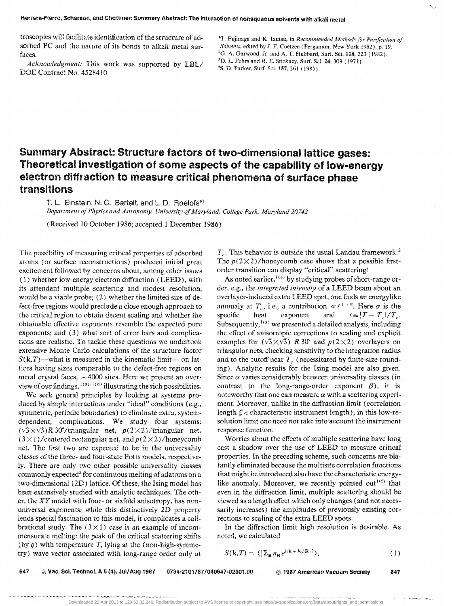troscopies will facilitate identification of the structure of adsorbed PC and the nature of its bonds to alkali metal surfaces.

*Acknowledgment:* This work was supported by LBL/ DOE Contract No. 4528410

## Summary Abstract: Structure factors of two-dimensional lattice gases: Theoretical investigation of some aspects of the capability of low-energy electron diffraction to measure critical phenomena of surface phase transitions

T. L. Einstein, N. C. Bartelt, and L. D. Roelofs<sup>a)</sup>

Department of Physics and Astronomy, University of Maryland, College Park, Maryland 20742

(Received 10 October 1986; accepted 1 December 1986)

The possibility of measuring critical properties of adsorbed atoms (or surface reconstructions) produced initial great excitement followed by concerns about, among other issues (1) whether low-energy electron diffraction (LEED), with its attendant multiple scattering and modest resolution, would be a viable probe; (2) whether the limited size of defect-free regions would preclude a close enough approach to the critical region to obtain decent scaling and whether the obtainable effective exponents resemble the expected pure exponents; and (3) what sort of error bars and complications are realistic. To tackle these questions we undertook extensive Monte Carlo calculations of the structure factor  $S(k,T)$ —what is measured in the kinematic limit— on lattices having sizes comparable to the defect-free regions on metal crystal faces,  $\sim$  4000 sites. Here we present an overview of our findings,  $\frac{1}{a}$ . illustrating the rich possibilities.

We seek general principles by looking at systems produced by simple interactions under "ideal" conditions (e.g., symmetric, periodic boundaries) to eliminate extra, systemdependent, complications. We study four systems:  $(\sqrt{3}\times\sqrt{3})R$  30°/triangular net,  $p(2\times2)$ /triangular net,  $(3 \times 1)$ / centered rectangular net, and  $p(2 \times 2)$ /honeycomb net. The first two are expected to be in the universality classes of the three- and four-state Potts models, respectively. There are only two other possible universality classes commonly expected<sup>2</sup> for continuous melting of adatoms on a two-dimensional (2D) lattice. Of these, the Ising model has been extensively studied with analytic techniques. The other, the XY model with four- or sixfold anisotropy, has nonuniversal exponents; while this distinctively 2D property lends special fascination to this model, it complicates a calibrational study. The  $(3 \times 1)$  case is an example of incommensurate melting; the peak of the critical scattering shifts (by  $q$ ) with temperature T, lying at the (non-high-symmetry) wave vector associated with long-range order only at

 $T<sub>c</sub>$ . This behavior is outside the usual Landau framework.<sup>2</sup> The  $p(2\times2)/$ honeycomb case shows that a possible firstorder transition can display "critical" scatteringl

As noted earlier, <sup>1(e)</sup> by studying probes of short-range order, e.g., the *integrated intensity* of a LEED beam about an overlayer-induced extra LEED spot, one finds an energylike anomaly at  $T_c$ , i.e., a contribution  $\propto t^{1-\alpha}$ . Here  $\alpha$  is the consider the contract of  $\alpha$  is the consider the contract of  $T_c$ . specific heat exponent and  $t=|T-T_c|/T_c$ . Subsequently,  $I(a)$  we presented a detailed analysis, including the effect of anisotropic corrections to scaling and explicit examples for  $(\sqrt{3}\times\sqrt{3})$  *R* 30° and  $p(2\times2)$  overlayers on triangular nets, checking sensitivity to the integration radius and to the cutoff near  $T_c$  (necessitated by finite-size rounding). Analytic results for the Ising model are also given. Since  $\alpha$  varies considerably between universality classes (in contrast to the long-range-order exponent  $\beta$ ), it is noteworthy that one can measure  $\alpha$  with a scattering experiment. Moreover, unlike in the diffraction limit (correlation length  $\xi$  < characteristic instrument length), in this low-resolution limit one need not take into account the instrument response function.

Worries about the effects of multiple scattering have long cast a shadow over the use of LEED to measure critical properties. In the preceding scheme, such concerns are blatantly eliminated because the multisite correlation functions that might be introduced also have the characteristic energylike anomaly. Moreover, we recently pointed out<sup>1(f)</sup> that even in the diffraction limit, multiple scattering should be viewed as a length effect which only changes (and not necessarily increases) the amplitudes of previously existing corrections to scaling of the extra LEED spots.

In the diffraction limit high resolution is desirable. As noted, we calculated

$$
S(\mathbf{k},T) = \langle |\Sigma_{\mathbf{R}} n_{\mathbf{R}} e^{i(\mathbf{k} + \mathbf{k}_0)\mathbf{R}}|^2 \rangle, \tag{1}
$$

647 J. 'lac. Sci. Techno!. A 5 (4). Jul/Aug 1987 0734-2101/87/040647-02\$01.00 @ 1987 American Vacuum Society 647

<sup>&</sup>lt;sup>1</sup>T. Fujinaga and K. Izutsu, in *Recommended Methods for Purification of Solvents,* edited by J. F. Coetzee (l'ergamon, New York 1982), p. 19.  ${}^{2}G$ . A. Garwood, Jr. and A. T. Hubbard, Surf. Sci. 118, 223 (1982). <sup>3</sup>D. L. Fehrs and R. E. Stickney, Surf. Sci. 24, 309 (1971). 4S. D. Parker, Surf. Sci, 157, 261 (1985).